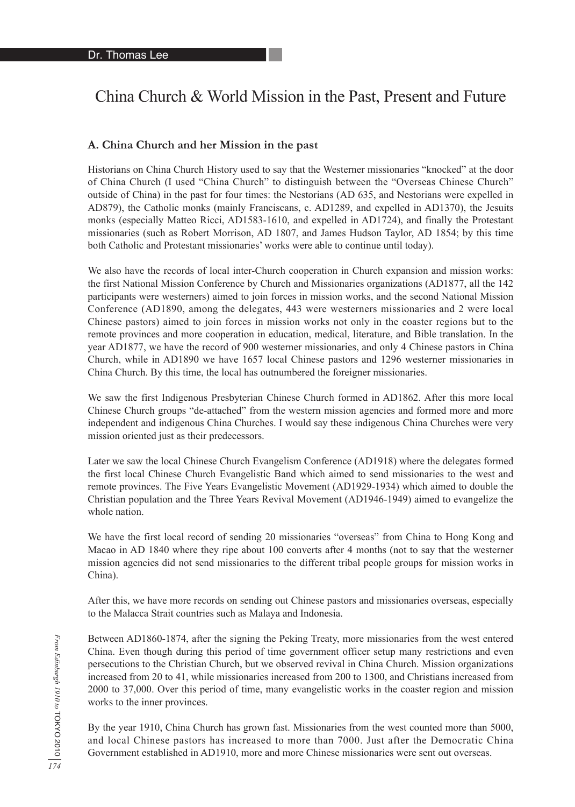# China Church & World Mission in the Past, Present and Future

#### **A. China Church and her Mission in the past**

Historians on China Church History used to say that the Westerner missionaries "knocked" at the door of China Church (I used "China Church" to distinguish between the "Overseas Chinese Church" outside of China) in the past for four times: the Nestorians (AD 635, and Nestorians were expelled in AD879), the Catholic monks (mainly Franciscans, c. AD1289, and expelled in AD1370), the Jesuits monks (especially Matteo Ricci, AD1583-1610, and expelled in AD1724), and finally the Protestant missionaries (such as Robert Morrison, AD 1807, and James Hudson Taylor, AD 1854; by this time both Catholic and Protestant missionaries' works were able to continue until today).

We also have the records of local inter-Church cooperation in Church expansion and mission works: the first National Mission Conference by Church and Missionaries organizations (AD1877, all the 142 participants were westerners) aimed to join forces in mission works, and the second National Mission Conference (AD1890, among the delegates, 443 were westerners missionaries and 2 were local Chinese pastors) aimed to join forces in mission works not only in the coaster regions but to the remote provinces and more cooperation in education, medical, literature, and Bible translation. In the year AD1877, we have the record of 900 westerner missionaries, and only 4 Chinese pastors in China Church, while in AD1890 we have 1657 local Chinese pastors and 1296 westerner missionaries in China Church. By this time, the local has outnumbered the foreigner missionaries.

We saw the first Indigenous Presbyterian Chinese Church formed in AD1862. After this more local Chinese Church groups "de-attached" from the western mission agencies and formed more and more independent and indigenous China Churches. I would say these indigenous China Churches were very mission oriented just as their predecessors.

Later we saw the local Chinese Church Evangelism Conference (AD1918) where the delegates formed the first local Chinese Church Evangelistic Band which aimed to send missionaries to the west and remote provinces. The Five Years Evangelistic Movement (AD1929-1934) which aimed to double the Christian population and the Three Years Revival Movement (AD1946-1949) aimed to evangelize the whole nation.

We have the first local record of sending 20 missionaries "overseas" from China to Hong Kong and Macao in AD 1840 where they ripe about 100 converts after 4 months (not to say that the westerner mission agencies did not send missionaries to the different tribal people groups for mission works in China).

After this, we have more records on sending out Chinese pastors and missionaries overseas, especially to the Malacca Strait countries such as Malaya and Indonesia.

Between AD1860-1874, after the signing the Peking Treaty, more missionaries from the west entered China. Even though during this period of time government officer setup many restrictions and even persecutions to the Christian Church, but we observed revival in China Church. Mission organizations increased from 20 to 41, while missionaries increased from 200 to 1300, and Christians increased from 2000 to 37,000. Over this period of time, many evangelistic works in the coaster region and mission works to the inner provinces.

By the year 1910, China Church has grown fast. Missionaries from the west counted more than 5000, and local Chinese pastors has increased to more than 7000. Just after the Democratic China Government established in AD1910, more and more Chinese missionaries were sent out overseas.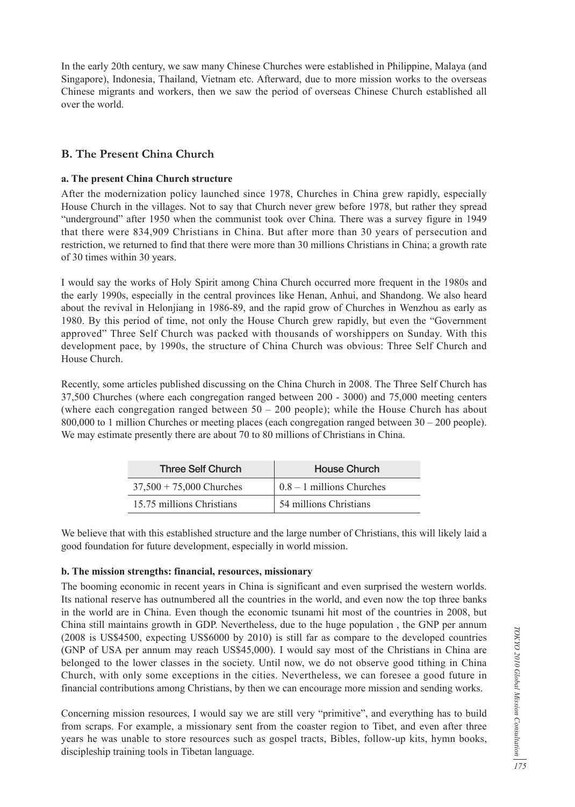In the early 20th century, we saw many Chinese Churches were established in Philippine, Malaya (and Singapore), Indonesia, Thailand, Vietnam etc. Afterward, due to more mission works to the overseas Chinese migrants and workers, then we saw the period of overseas Chinese Church established all over the world.

# **B. The Present China Church**

#### **a. The present China Church structure**

After the modernization policy launched since 1978, Churches in China grew rapidly, especially House Church in the villages. Not to say that Church never grew before 1978, but rather they spread "underground" after 1950 when the communist took over China. There was a survey figure in 1949 that there were 834,909 Christians in China. But after more than 30 years of persecution and restriction, we returned to find that there were more than 30 millions Christians in China; a growth rate of 30 times within 30 years.

I would say the works of Holy Spirit among China Church occurred more frequent in the 1980s and the early 1990s, especially in the central provinces like Henan, Anhui, and Shandong. We also heard about the revival in Helonjiang in 1986-89, and the rapid grow of Churches in Wenzhou as early as 1980. By this period of time, not only the House Church grew rapidly, but even the "Government approved" Three Self Church was packed with thousands of worshippers on Sunday. With this development pace, by 1990s, the structure of China Church was obvious: Three Self Church and House Church.

Recently, some articles published discussing on the China Church in 2008. The Three Self Church has 37,500 Churches (where each congregation ranged between 200 - 3000) and 75,000 meeting centers (where each congregation ranged between  $50 - 200$  people); while the House Church has about 800,000 to 1 million Churches or meeting places (each congregation ranged between 30 – 200 people). We may estimate presently there are about 70 to 80 millions of Christians in China.

| <b>Three Self Church</b>   | <b>House Church</b>         |
|----------------------------|-----------------------------|
| $37,500 + 75,000$ Churches | $0.8 - 1$ millions Churches |
| 15.75 millions Christians  | 54 millions Christians      |

We believe that with this established structure and the large number of Christians, this will likely laid a good foundation for future development, especially in world mission.

#### **b. The mission strengths: financial, resources, missionary**

The booming economic in recent years in China is significant and even surprised the western worlds. Its national reserve has outnumbered all the countries in the world, and even now the top three banks in the world are in China. Even though the economic tsunami hit most of the countries in 2008, but China still maintains growth in GDP. Nevertheless, due to the huge population , the GNP per annum (2008 is US\$4500, expecting US\$6000 by 2010) is still far as compare to the developed countries (GNP of USA per annum may reach US\$45,000). I would say most of the Christians in China are belonged to the lower classes in the society. Until now, we do not observe good tithing in China Church, with only some exceptions in the cities. Nevertheless, we can foresee a good future in financial contributions among Christians, by then we can encourage more mission and sending works.

Concerning mission resources, I would say we are still very "primitive", and everything has to build from scraps. For example, a missionary sent from the coaster region to Tibet, and even after three years he was unable to store resources such as gospel tracts, Bibles, follow-up kits, hymn books, discipleship training tools in Tibetan language.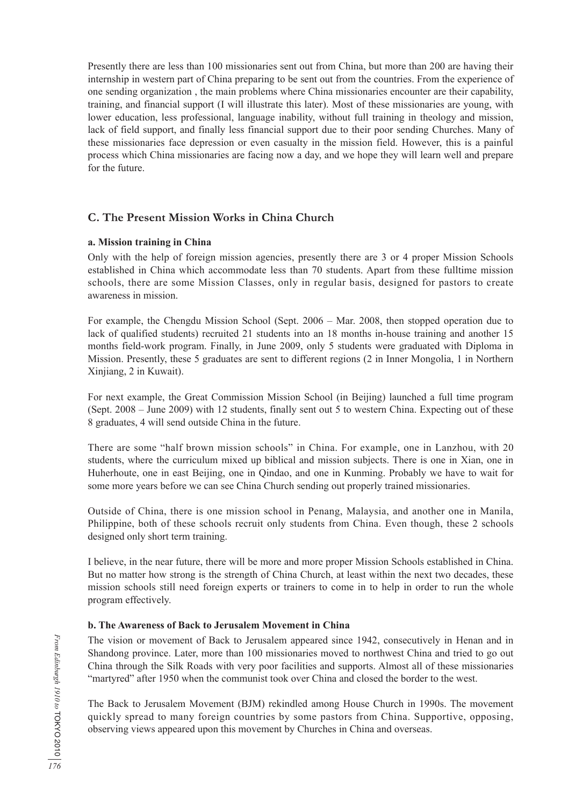Presently there are less than 100 missionaries sent out from China, but more than 200 are having their internship in western part of China preparing to be sent out from the countries. From the experience of one sending organization , the main problems where China missionaries encounter are their capability, training, and financial support (I will illustrate this later). Most of these missionaries are young, with lower education, less professional, language inability, without full training in theology and mission, lack of field support, and finally less financial support due to their poor sending Churches. Many of these missionaries face depression or even casualty in the mission field. However, this is a painful process which China missionaries are facing now a day, and we hope they will learn well and prepare for the future.

# **C. The Present Mission Works in China Church**

## **a. Mission training in China**

Only with the help of foreign mission agencies, presently there are 3 or 4 proper Mission Schools established in China which accommodate less than 70 students. Apart from these fulltime mission schools, there are some Mission Classes, only in regular basis, designed for pastors to create awareness in mission.

For example, the Chengdu Mission School (Sept. 2006 – Mar. 2008, then stopped operation due to lack of qualified students) recruited 21 students into an 18 months in-house training and another 15 months field-work program. Finally, in June 2009, only 5 students were graduated with Diploma in Mission. Presently, these 5 graduates are sent to different regions (2 in Inner Mongolia, 1 in Northern Xinjiang, 2 in Kuwait).

For next example, the Great Commission Mission School (in Beijing) launched a full time program (Sept. 2008 – June 2009) with 12 students, finally sent out 5 to western China. Expecting out of these 8 graduates, 4 will send outside China in the future.

There are some "half brown mission schools" in China. For example, one in Lanzhou, with 20 students, where the curriculum mixed up biblical and mission subjects. There is one in Xian, one in Huherhoute, one in east Beijing, one in Qindao, and one in Kunming. Probably we have to wait for some more years before we can see China Church sending out properly trained missionaries.

Outside of China, there is one mission school in Penang, Malaysia, and another one in Manila, Philippine, both of these schools recruit only students from China. Even though, these 2 schools designed only short term training.

I believe, in the near future, there will be more and more proper Mission Schools established in China. But no matter how strong is the strength of China Church, at least within the next two decades, these mission schools still need foreign experts or trainers to come in to help in order to run the whole program effectively.

## **b. The Awareness of Back to Jerusalem Movement in China**

The vision or movement of Back to Jerusalem appeared since 1942, consecutively in Henan and in Shandong province. Later, more than 100 missionaries moved to northwest China and tried to go out China through the Silk Roads with very poor facilities and supports. Almost all of these missionaries "martyred" after 1950 when the communist took over China and closed the border to the west.

The Back to Jerusalem Movement (BJM) rekindled among House Church in 1990s. The movement quickly spread to many foreign countries by some pastors from China. Supportive, opposing, observing views appeared upon this movement by Churches in China and overseas.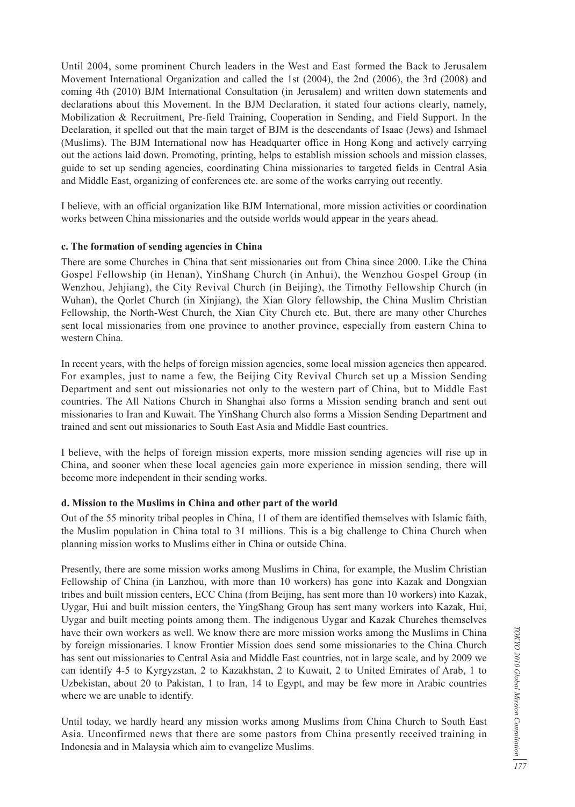Until 2004, some prominent Church leaders in the West and East formed the Back to Jerusalem Movement International Organization and called the 1st (2004), the 2nd (2006), the 3rd (2008) and coming 4th (2010) BJM International Consultation (in Jerusalem) and written down statements and declarations about this Movement. In the BJM Declaration, it stated four actions clearly, namely, Mobilization & Recruitment, Pre-field Training, Cooperation in Sending, and Field Support. In the Declaration, it spelled out that the main target of BJM is the descendants of Isaac (Jews) and Ishmael (Muslims). The BJM International now has Headquarter office in Hong Kong and actively carrying out the actions laid down. Promoting, printing, helps to establish mission schools and mission classes, guide to set up sending agencies, coordinating China missionaries to targeted fields in Central Asia and Middle East, organizing of conferences etc. are some of the works carrying out recently.

I believe, with an official organization like BJM International, more mission activities or coordination works between China missionaries and the outside worlds would appear in the years ahead.

#### **c. The formation of sending agencies in China**

There are some Churches in China that sent missionaries out from China since 2000. Like the China Gospel Fellowship (in Henan), YinShang Church (in Anhui), the Wenzhou Gospel Group (in Wenzhou, Jehjiang), the City Revival Church (in Beijing), the Timothy Fellowship Church (in Wuhan), the Qorlet Church (in Xinjiang), the Xian Glory fellowship, the China Muslim Christian Fellowship, the North-West Church, the Xian City Church etc. But, there are many other Churches sent local missionaries from one province to another province, especially from eastern China to western China.

In recent years, with the helps of foreign mission agencies, some local mission agencies then appeared. For examples, just to name a few, the Beijing City Revival Church set up a Mission Sending Department and sent out missionaries not only to the western part of China, but to Middle East countries. The All Nations Church in Shanghai also forms a Mission sending branch and sent out missionaries to Iran and Kuwait. The YinShang Church also forms a Mission Sending Department and trained and sent out missionaries to South East Asia and Middle East countries.

I believe, with the helps of foreign mission experts, more mission sending agencies will rise up in China, and sooner when these local agencies gain more experience in mission sending, there will become more independent in their sending works.

#### **d. Mission to the Muslims in China and other part of the world**

Out of the 55 minority tribal peoples in China, 11 of them are identified themselves with Islamic faith, the Muslim population in China total to 31 millions. This is a big challenge to China Church when planning mission works to Muslims either in China or outside China.

Presently, there are some mission works among Muslims in China, for example, the Muslim Christian Fellowship of China (in Lanzhou, with more than 10 workers) has gone into Kazak and Dongxian tribes and built mission centers, ECC China (from Beijing, has sent more than 10 workers) into Kazak, Uygar, Hui and built mission centers, the YingShang Group has sent many workers into Kazak, Hui, Uygar and built meeting points among them. The indigenous Uygar and Kazak Churches themselves have their own workers as well. We know there are more mission works among the Muslims in China by foreign missionaries. I know Frontier Mission does send some missionaries to the China Church has sent out missionaries to Central Asia and Middle East countries, not in large scale, and by 2009 we can identify 4-5 to Kyrgyzstan, 2 to Kazakhstan, 2 to Kuwait, 2 to United Emirates of Arab, 1 to Uzbekistan, about 20 to Pakistan, 1 to Iran, 14 to Egypt, and may be few more in Arabic countries where we are unable to identify.

Until today, we hardly heard any mission works among Muslims from China Church to South East Asia. Unconfirmed news that there are some pastors from China presently received training in Indonesia and in Malaysia which aim to evangelize Muslims.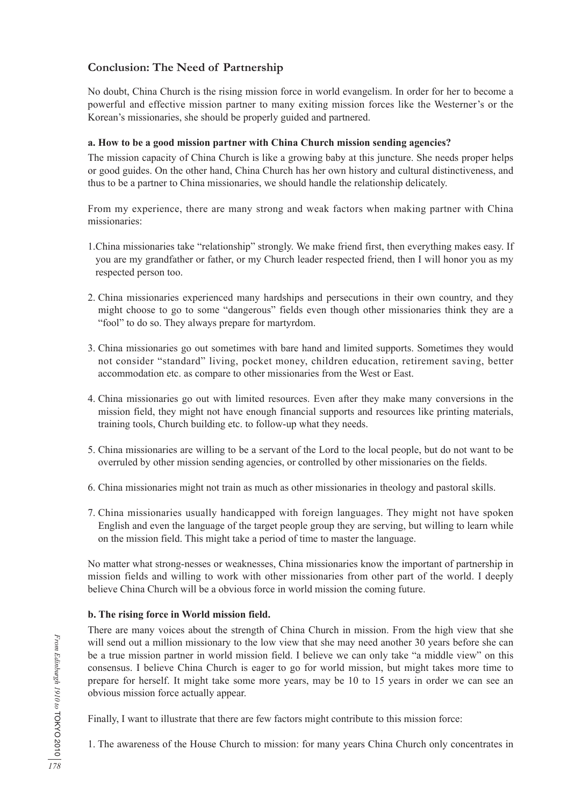# **Conclusion: The Need of Partnership**

No doubt, China Church is the rising mission force in world evangelism. In order for her to become a powerful and effective mission partner to many exiting mission forces like the Westerner's or the Korean's missionaries, she should be properly guided and partnered.

# **a. How to be a good mission partner with China Church mission sending agencies?**

The mission capacity of China Church is like a growing baby at this juncture. She needs proper helps or good guides. On the other hand, China Church has her own history and cultural distinctiveness, and thus to be a partner to China missionaries, we should handle the relationship delicately.

From my experience, there are many strong and weak factors when making partner with China missionaries:

- 1.China missionaries take "relationship" strongly. We make friend first, then everything makes easy. If you are my grandfather or father, or my Church leader respected friend, then I will honor you as my respected person too.
- 2. China missionaries experienced many hardships and persecutions in their own country, and they might choose to go to some "dangerous" fields even though other missionaries think they are a "fool" to do so. They always prepare for martyrdom.
- 3. China missionaries go out sometimes with bare hand and limited supports. Sometimes they would not consider "standard" living, pocket money, children education, retirement saving, better accommodation etc. as compare to other missionaries from the West or East.
- 4. China missionaries go out with limited resources. Even after they make many conversions in the mission field, they might not have enough financial supports and resources like printing materials, training tools, Church building etc. to follow-up what they needs.
- 5. China missionaries are willing to be a servant of the Lord to the local people, but do not want to be overruled by other mission sending agencies, or controlled by other missionaries on the fields.
- 6. China missionaries might not train as much as other missionaries in theology and pastoral skills.
- 7. China missionaries usually handicapped with foreign languages. They might not have spoken English and even the language of the target people group they are serving, but willing to learn while on the mission field. This might take a period of time to master the language.

No matter what strong-nesses or weaknesses, China missionaries know the important of partnership in mission fields and willing to work with other missionaries from other part of the world. I deeply believe China Church will be a obvious force in world mission the coming future.

# **b. The rising force in World mission field.**

There are many voices about the strength of China Church in mission. From the high view that she will send out a million missionary to the low view that she may need another 30 years before she can be a true mission partner in world mission field. I believe we can only take "a middle view" on this consensus. I believe China Church is eager to go for world mission, but might takes more time to prepare for herself. It might take some more years, may be 10 to 15 years in order we can see an obvious mission force actually appear.

Finally, I want to illustrate that there are few factors might contribute to this mission force:

1. The awareness of the House Church to mission: for many years China Church only concentrates in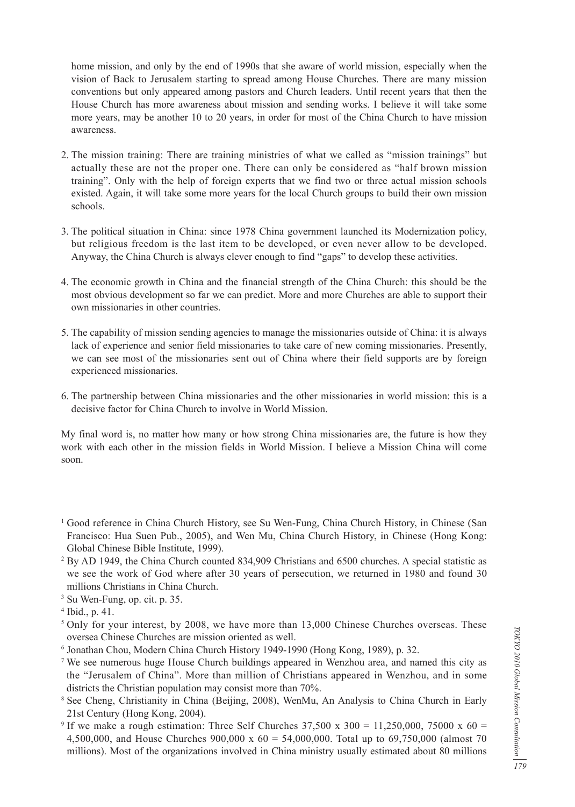home mission, and only by the end of 1990s that she aware of world mission, especially when the vision of Back to Jerusalem starting to spread among House Churches. There are many mission conventions but only appeared among pastors and Church leaders. Until recent years that then the House Church has more awareness about mission and sending works. I believe it will take some more years, may be another 10 to 20 years, in order for most of the China Church to have mission awareness.

- 2. The mission training: There are training ministries of what we called as "mission trainings" but actually these are not the proper one. There can only be considered as "half brown mission training". Only with the help of foreign experts that we find two or three actual mission schools existed. Again, it will take some more years for the local Church groups to build their own mission schools.
- 3. The political situation in China: since 1978 China government launched its Modernization policy, but religious freedom is the last item to be developed, or even never allow to be developed. Anyway, the China Church is always clever enough to find "gaps" to develop these activities.
- 4. The economic growth in China and the financial strength of the China Church: this should be the most obvious development so far we can predict. More and more Churches are able to support their own missionaries in other countries.
- 5. The capability of mission sending agencies to manage the missionaries outside of China: it is always lack of experience and senior field missionaries to take care of new coming missionaries. Presently, we can see most of the missionaries sent out of China where their field supports are by foreign experienced missionaries.
- 6. The partnership between China missionaries and the other missionaries in world mission: this is a decisive factor for China Church to involve in World Mission.

My final word is, no matter how many or how strong China missionaries are, the future is how they work with each other in the mission fields in World Mission. I believe a Mission China will come soon.

- <sup>2</sup> By AD 1949, the China Church counted 834,909 Christians and 6500 churches. A special statistic as we see the work of God where after 30 years of persecution, we returned in 1980 and found 30 millions Christians in China Church.
- 3 Su Wen-Fung, op. cit. p. 35.

- <sup>5</sup> Only for your interest, by 2008, we have more than 13,000 Chinese Churches overseas. These oversea Chinese Churches are mission oriented as well.
- 6 Jonathan Chou, Modern China Church History 1949-1990 (Hong Kong, 1989), p. 32.
- <sup>7</sup> We see numerous huge House Church buildings appeared in Wenzhou area, and named this city as the "Jerusalem of China". More than million of Christians appeared in Wenzhou, and in some districts the Christian population may consist more than 70%.

<sup>8</sup> See Cheng, Christianity in China (Beijing, 2008), WenMu, An Analysis to China Church in Early 21st Century (Hong Kong, 2004).

<sup>9</sup> If we make a rough estimation: Three Self Churches  $37,500 \times 300 = 11,250,000,75000 \times 60 =$ 4,500,000, and House Churches 900,000 x 60 = 54,000,000. Total up to 69,750,000 (almost 70 millions). Most of the organizations involved in China ministry usually estimated about 80 millions

<sup>1</sup> Good reference in China Church History, see Su Wen-Fung, China Church History, in Chinese (San Francisco: Hua Suen Pub., 2005), and Wen Mu, China Church History, in Chinese (Hong Kong: Global Chinese Bible Institute, 1999).

<sup>4</sup> Ibid., p. 41.